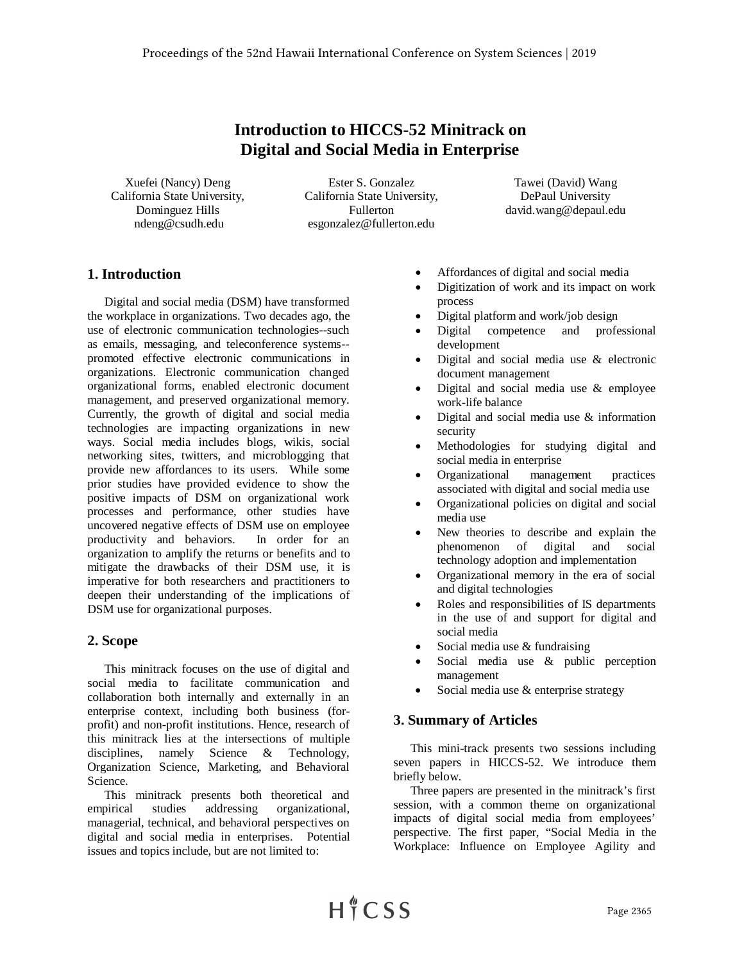# **Introduction to HICCS-52 Minitrack on Digital and Social Media in Enterprise**

Xuefei (Nancy) Deng California State University, Dominguez Hills ndeng@csudh.edu

Ester S. Gonzalez California State University, Fullerton esgonzalez@fullerton.edu

Tawei (David) Wang DePaul University david.wang@depaul.edu

## **1. Introduction**

Digital and social media (DSM) have transformed the workplace in organizations. Two decades ago, the use of electronic communication technologies--such as emails, messaging, and teleconference systems- promoted effective electronic communications in organizations. Electronic communication changed organizational forms, enabled electronic document management, and preserved organizational memory. Currently, the growth of digital and social media technologies are impacting organizations in new ways. Social media includes blogs, wikis, social networking sites, twitters, and microblogging that provide new affordances to its users. While some prior studies have provided evidence to show the positive impacts of DSM on organizational work processes and performance, other studies have uncovered negative effects of DSM use on employee productivity and behaviors. In order for an organization to amplify the returns or benefits and to mitigate the drawbacks of their DSM use, it is imperative for both researchers and practitioners to deepen their understanding of the implications of DSM use for organizational purposes.

### **2. Scope**

This minitrack focuses on the use of digital and social media to facilitate communication and collaboration both internally and externally in an enterprise context, including both business (forprofit) and non-profit institutions. Hence, research of this minitrack lies at the intersections of multiple disciplines, namely Science & Technology, Organization Science, Marketing, and Behavioral Science.

This minitrack presents both theoretical and empirical studies addressing organizational, managerial, technical, and behavioral perspectives on digital and social media in enterprises. Potential issues and topics include, but are not limited to:

- Affordances of digital and social media
- Digitization of work and its impact on work process
- Digital platform and work/job design
- Digital competence and professional development
- Digital and social media use  $&$  electronic document management
- Digital and social media use & employee work-life balance
- Digital and social media use  $&$  information security
- Methodologies for studying digital and social media in enterprise
- Organizational management practices associated with digital and social media use
- Organizational policies on digital and social media use
- New theories to describe and explain the phenomenon of digital and social technology adoption and implementation
- Organizational memory in the era of social and digital technologies
- Roles and responsibilities of IS departments in the use of and support for digital and social media
- Social media use  $&$  fundraising
- Social media use & public perception management
- Social media use & enterprise strategy

### **3. Summary of Articles**

This mini-track presents two sessions including seven papers in HICCS-52. We introduce them briefly below.

Three papers are presented in the minitrack's first session, with a common theme on organizational impacts of digital social media from employees' perspective. The first paper, "Social Media in the Workplace: Influence on Employee Agility and